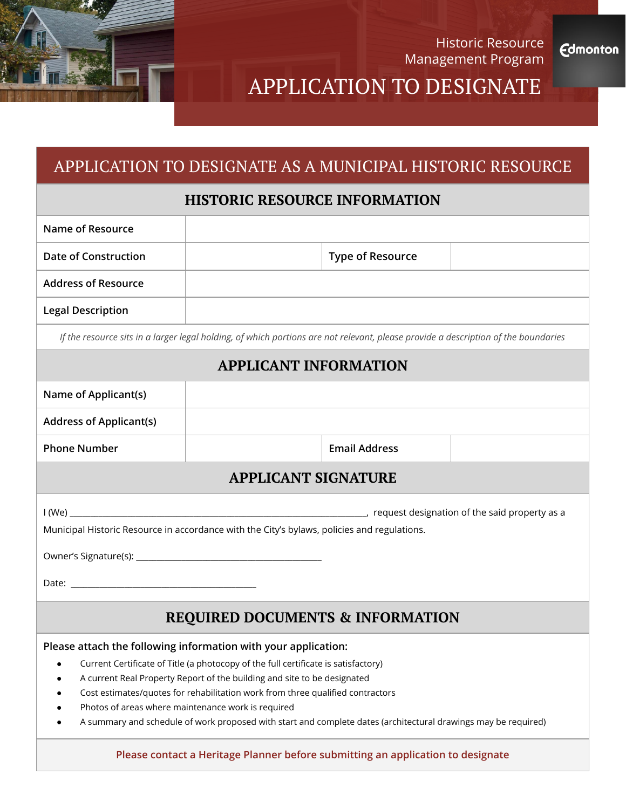

Historic Resource Management Program

**Edmonton** 

# APPLICATION TO DESIGNATE

# APPLICATION TO DESIGNATE AS A MUNICIPAL HISTORIC RESOURCE

## **HISTORIC RESOURCE INFORMATION**

| Name of Resource           |                         |  |
|----------------------------|-------------------------|--|
| Date of Construction       | <b>Type of Resource</b> |  |
| <b>Address of Resource</b> |                         |  |
| <b>Legal Description</b>   |                         |  |
|                            |                         |  |

*If the resource sits in a larger legal holding, of which portions are not relevant, please provide a description of the boundaries*

### **APPLICANT INFORMATION**

| Name of Applicant(s)                                                                                           |                                                                                 |                      |  |  |
|----------------------------------------------------------------------------------------------------------------|---------------------------------------------------------------------------------|----------------------|--|--|
| <b>Address of Applicant(s)</b>                                                                                 |                                                                                 |                      |  |  |
| <b>Phone Number</b>                                                                                            |                                                                                 | <b>Email Address</b> |  |  |
| <b>APPLICANT SIGNATURE</b>                                                                                     |                                                                                 |                      |  |  |
| Municipal Historic Resource in accordance with the City's bylaws, policies and regulations.                    |                                                                                 |                      |  |  |
| <b>REQUIRED DOCUMENTS &amp; INFORMATION</b>                                                                    |                                                                                 |                      |  |  |
| Please attach the following information with your application:                                                 |                                                                                 |                      |  |  |
| Current Certificate of Title (a photocopy of the full certificate is satisfactory)<br>$\bullet$                |                                                                                 |                      |  |  |
| A current Real Property Report of the building and site to be designated<br>٠                                  |                                                                                 |                      |  |  |
| Cost estimates/quotes for rehabilitation work from three qualified contractors                                 |                                                                                 |                      |  |  |
| Photos of areas where maintenance work is required                                                             |                                                                                 |                      |  |  |
| A summary and schedule of work proposed with start and complete dates (architectural drawings may be required) |                                                                                 |                      |  |  |
|                                                                                                                | Please contact a Heritage Planner before submitting an application to designate |                      |  |  |